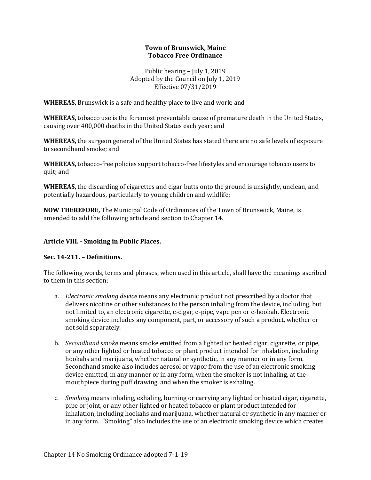# **Town of Brunswick, Maine Tobacco Free Ordinance**

Public hearing – July 1, 2019 Adopted by the Council on July 1, 2019 Effective 07/31/2019

**WHEREAS,** Brunswick is a safe and healthy place to live and work; and

**WHEREAS,** tobacco use is the foremost preventable cause of premature death in the United States, causing over 400,000 deaths in the United States each year; and

**WHEREAS,** the surgeon general of the United States has stated there are no safe levels of exposure to secondhand smoke; and

**WHEREAS,** tobacco-free policies support tobacco-free lifestyles and encourage tobacco users to quit; and

**WHEREAS,** the discarding of cigarettes and cigar butts onto the ground is unsightly, unclean, and potentially hazardous, particularly to young children and wildlife;

**NOW THEREFORE,** The Municipal Code of Ordinances of the Town of Brunswick, Maine, is amended to add the following article and section to Chapter 14.

# **Article VIII. - Smoking in Public Places.**

#### **Sec. 14-211. – Definitions.**

The following words, terms and phrases, when used in this article, shall have the meanings ascribed to them in this section:

- a. *Electronic smoking device* means any electronic product not prescribed by a doctor that delivers nicotine or other substances to the person inhaling from the device, including, but not limited to, an electronic cigarette, e-cigar, e-pipe, vape pen or e-hookah. Electronic smoking device includes any component, part, or accessory of such a product, whether or not sold separately.
- b. *Secondhand smoke* means smoke emitted from a lighted or heated cigar, cigarette, or pipe, or any other lighted or heated tobacco or plant product intended for inhalation, including hookahs and marijuana, whether natural or synthetic, in any manner or in any form. Secondhand smoke also includes aerosol or vapor from the use of an electronic smoking device emitted, in any manner or in any form, when the smoker is not inhaling, at the mouthpiece during puff drawing, and when the smoker is exhaling.
- c. *Smoking* means inhaling, exhaling, burning or carrying any lighted or heated cigar, cigarette, pipe or joint, or any other lighted or heated tobacco or plant product intended for inhalation, including hookahs and marijuana, whether natural or synthetic in any manner or in any form. "Smoking" also includes the use of an electronic smoking device which creates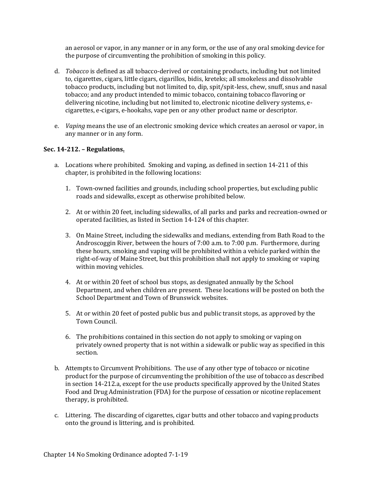an aerosol or vapor, in any manner or in any form, or the use of any oral smoking device for the purpose of circumventing the prohibition of smoking in this policy.

- d. *Tobacco* is defined as all tobacco-derived or containing products, including but not limited to, cigarettes, cigars, little cigars, cigarillos, bidis, kreteks; all smokeless and dissolvable tobacco products, including but not limited to, dip, spit/spit-less, chew, snuff, snus and nasal tobacco; and any product intended to mimic tobacco, containing tobacco flavoring or delivering nicotine, including but not limited to, electronic nicotine delivery systems, ecigarettes, e-cigars, e-hookahs, vape pen or any other product name or descriptor.
- e. *Vaping* means the use of an electronic smoking device which creates an aerosol or vapor, in any manner or in any form.

# **Sec. 14-212. – Regulations.**

- a. Locations where prohibited. Smoking and vaping, as defined in section 14-211 of this chapter, is prohibited in the following locations:
	- 1. Town-owned facilities and grounds, including school properties, but excluding public roads and sidewalks, except as otherwise prohibited below.
	- 2. At or within 20 feet, including sidewalks, of all parks and parks and recreation-owned or operated facilities, as listed in Section 14-124 of this chapter.
	- 3. On Maine Street, including the sidewalks and medians, extending from Bath Road to the Androscoggin River, between the hours of 7:00 a.m. to 7:00 p.m. Furthermore, during these hours, smoking and vaping will be prohibited within a vehicle parked within the right-of-way of Maine Street, but this prohibition shall not apply to smoking or vaping within moving vehicles.
	- 4. At or within 20 feet of school bus stops, as designated annually by the School Department, and when children are present. These locations will be posted on both the School Department and Town of Brunswick websites.
	- 5. At or within 20 feet of posted public bus and public transit stops, as approved by the Town Council.
	- 6. The prohibitions contained in this section do not apply to smoking or vaping on privately owned property that is not within a sidewalk or public way as specified in this section.
- b. Attempts to Circumvent Prohibitions. The use of any other type of tobacco or nicotine product for the purpose of circumventing the prohibition of the use of tobacco as described in section 14-212.a, except for the use products specifically approved by the United States Food and Drug Administration (FDA) for the purpose of cessation or nicotine replacement therapy, is prohibited.
- c. Littering. The discarding of cigarettes, cigar butts and other tobacco and vaping products onto the ground is littering, and is prohibited.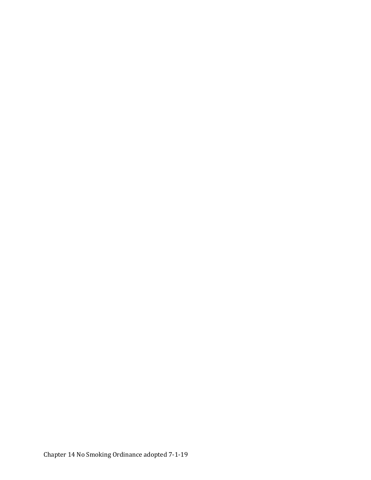Chapter 14 No Smoking Ordinance adopted 7-1-19